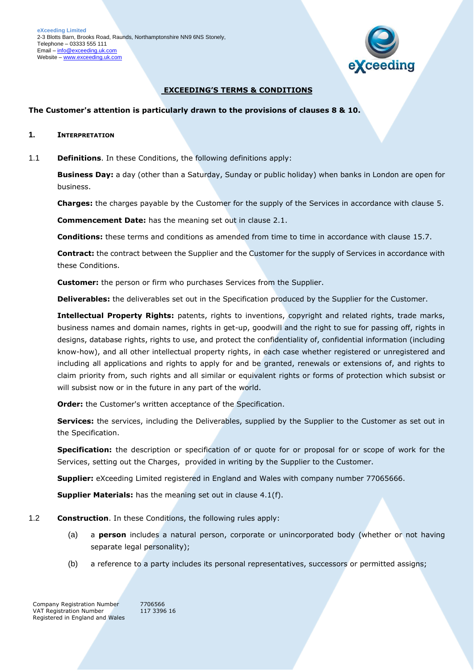

### **EXCEEDING'S TERMS & CONDITIONS**

#### **The Customer's attention is particularly drawn to the provisions of clauses 8 & 10.**

- **1. INTERPRETATION**
- 1.1 **Definitions**. In these Conditions, the following definitions apply:

**Business Day:** a day (other than a Saturday, Sunday or public holiday) when banks in London are open for business.

**Charges:** the charges payable by the Customer for the supply of the Services in accordance with clause [5.](#page-3-0)

**Commencement Date:** has the meaning set out in clause [2.1.](#page-1-0)

**Conditions:** these terms and conditions as amended from time to time in accordance with clause [15.7.](#page-9-0)

**Contract:** the contract between the Supplier and the Customer for the supply of Services in accordance with these Conditions.

**Customer:** the person or firm who purchases Services from the Supplier.

**Deliverables:** the deliverables set out in the Specification produced by the Supplier for the Customer.

**Intellectual Property Rights:** patents, rights to inventions, copyright and related rights, trade marks, business names and domain names, rights in get-up, goodwill and the right to sue for passing off, rights in designs, database rights, rights to use, and protect the confidentiality of, confidential information (including know-how), and all other intellectual property rights, in each case whether registered or unregistered and including all applications and rights to apply for and be granted, renewals or extensions of, and rights to claim priority from, such rights and all similar or equivalent rights or forms of protection which subsist or will subsist now or in the future in any part of the world.

**Order:** the Customer's written acceptance of the Specification.

**Services:** the services, including the Deliverables, supplied by the Supplier to the Customer as set out in the Specification.

**Specification:** the description or specification of or quote for or proposal for or scope of work for the Services, setting out the Charges, provided in writing by the Supplier to the Customer.

**Supplier:** eXceeding Limited registered in England and Wales with company number 77065666.

**Supplier Materials:** has the meaning set out in clause [4.1\(f\).](#page-2-0)

- 1.2 **Construction**. In these Conditions, the following rules apply:
	- (a) a **person** includes a natural person, corporate or unincorporated body (whether or not having separate legal personality);
	- (b) a reference to a party includes its personal representatives, successors or permitted assigns;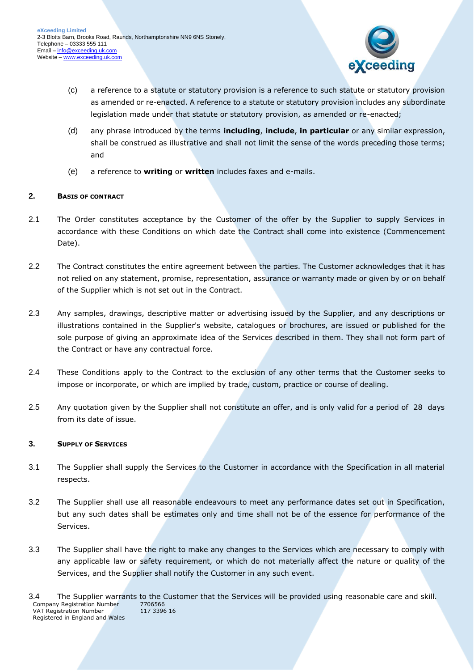

- (c) a reference to a statute or statutory provision is a reference to such statute or statutory provision as amended or re-enacted. A reference to a statute or statutory provision includes any subordinate legislation made under that statute or statutory provision, as amended or re-enacted;
- (d) any phrase introduced by the terms **including**, **include**, **in particular** or any similar expression, shall be construed as illustrative and shall not limit the sense of the words preceding those terms; and
- (e) a reference to **writing** or **written** includes faxes and e-mails.

# <span id="page-1-0"></span>**2. BASIS OF CONTRACT**

- 2.1 The Order constitutes acceptance by the Customer of the offer by the Supplier to supply Services in accordance with these Conditions on which date the Contract shall come into existence (Commencement Date).
- 2.2 The Contract constitutes the entire agreement between the parties. The Customer acknowledges that it has not relied on any statement, promise, representation, assurance or warranty made or given by or on behalf of the Supplier which is not set out in the Contract.
- 2.3 Any samples, drawings, descriptive matter or advertising issued by the Supplier, and any descriptions or illustrations contained in the Supplier's website, catalogues or brochures, are issued or published for the sole purpose of giving an approximate idea of the Services described in them. They shall not form part of the Contract or have any contractual force.
- 2.4 These Conditions apply to the Contract to the exclusion of any other terms that the Customer seeks to impose or incorporate, or which are implied by trade, custom, practice or course of dealing.
- 2.5 Any quotation given by the Supplier shall not constitute an offer, and is only valid for a period of 28 days from its date of issue.

#### **3. SUPPLY OF SERVICES**

- 3.1 The Supplier shall supply the Services to the Customer in accordance with the Specification in all material respects.
- 3.2 The Supplier shall use all reasonable endeavours to meet any performance dates set out in Specification, but any such dates shall be estimates only and time shall not be of the essence for performance of the Services.
- 3.3 The Supplier shall have the right to make any changes to the Services which are necessary to comply with any applicable law or safety requirement, or which do not materially affect the nature or quality of the Services, and the Supplier shall notify the Customer in any such event.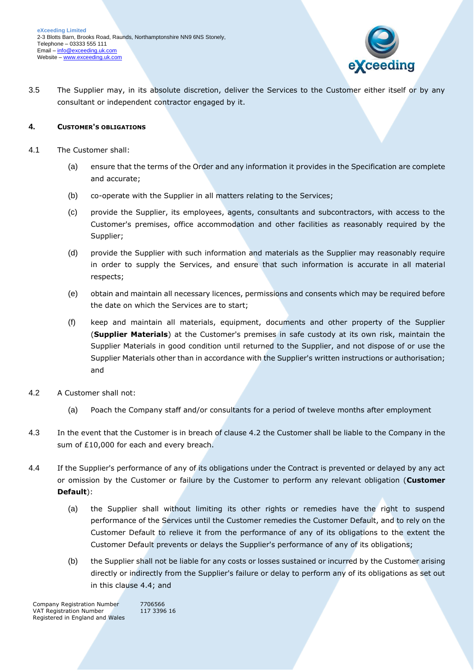

3.5 The Supplier may, in its absolute discretion, deliver the Services to the Customer either itself or by any consultant or independent contractor engaged by it.

### **4. CUSTOMER'S OBLIGATIONS**

- 4.1 The Customer shall:
	- (a) ensure that the terms of the Order and any information it provides in the Specification are complete and accurate;
	- (b) co-operate with the Supplier in all matters relating to the Services;
	- (c) provide the Supplier, its employees, agents, consultants and subcontractors, with access to the Customer's premises, office accommodation and other facilities as reasonably required by the Supplier;
	- (d) provide the Supplier with such information and materials as the Supplier may reasonably require in order to supply the Services, and ensure that such information is accurate in all material respects;
	- (e) obtain and maintain all necessary licences, permissions and consents which may be required before the date on which the Services are to start;
	- (f) keep and maintain all materials, equipment, documents and other property of the Supplier (**Supplier Materials**) at the Customer's premises in safe custody at its own risk, maintain the Supplier Materials in good condition until returned to the Supplier, and not dispose of or use the Supplier Materials other than in accordance with the Supplier's written instructions or authorisation; and
- <span id="page-2-0"></span>4.2 A Customer shall not:
	- (a) Poach the Company staff and/or consultants for a period of tweleve months after employment
- 4.3 In the event that the Customer is in breach of clause 4.2 the Customer shall be liable to the Company in the sum of £10,000 for each and every breach.
- <span id="page-2-1"></span>4.4 If the Supplier's performance of any of its obligations under the Contract is prevented or delayed by any act or omission by the Customer or failure by the Customer to perform any relevant obligation (**Customer Default**):
	- (a) the Supplier shall without limiting its other rights or remedies have the right to suspend performance of the Services until the Customer remedies the Customer Default, and to rely on the Customer Default to relieve it from the performance of any of its obligations to the extent the Customer Default prevents or delays the Supplier's performance of any of its obligations;
	- (b) the Supplier shall not be liable for any costs or losses sustained or incurred by the Customer arising directly or indirectly from the Supplier's failure or delay to perform any of its obligations as set out in this clause [4.4;](#page-2-1) and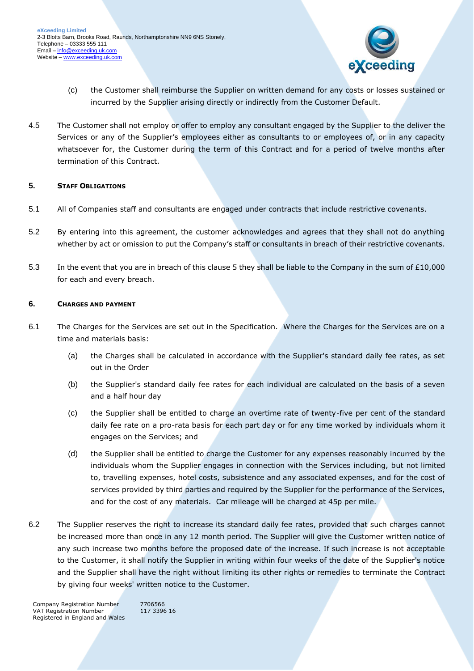

- (c) the Customer shall reimburse the Supplier on written demand for any costs or losses sustained or incurred by the Supplier arising directly or indirectly from the Customer Default.
- 4.5 The Customer shall not employ or offer to employ any consultant engaged by the Supplier to the deliver the Services or any of the Supplier's employees either as consultants to or employees of, or in any capacity whatsoever for, the Customer during the term of this Contract and for a period of twelve months after termination of this Contract.

#### <span id="page-3-0"></span>**5. STAFF OBLIGATIONS**

- 5.1 All of Companies staff and consultants are engaged under contracts that include restrictive covenants.
- 5.2 By entering into this agreement, the customer acknowledges and agrees that they shall not do anything whether by act or omission to put the Company's staff or consultants in breach of their restrictive covenants.
- 5.3 In the event that you are in breach of this clause 5 they shall be liable to the Company in the sum of £10,000 for each and every breach.

#### **6. CHARGES AND PAYMENT**

- 6.1 The Charges for the Services are set out in the Specification. Where the Charges for the Services are on a time and materials basis:
	- (a) the Charges shall be calculated in accordance with the Supplier's standard daily fee rates, as set out in the Order
	- (b) the Supplier's standard daily fee rates for each individual are calculated on the basis of a seven and a half hour day
	- (c) the Supplier shall be entitled to charge an overtime rate of twenty-five per cent of the standard daily fee rate on a pro-rata basis for each part day or for any time worked by individuals whom it engages on the Services; and
	- (d) the Supplier shall be entitled to charge the Customer for any expenses reasonably incurred by the individuals whom the Supplier engages in connection with the Services including, but not limited to, travelling expenses, hotel costs, subsistence and any associated expenses, and for the cost of services provided by third parties and required by the Supplier for the performance of the Services, and for the cost of any materials. Car mileage will be charged at 45p per mile.
- 6.2 The Supplier reserves the right to increase its standard daily fee rates, provided that such charges cannot be increased more than once in any 12 month period. The Supplier will give the Customer written notice of any such increase two months before the proposed date of the increase. If such increase is not acceptable to the Customer, it shall notify the Supplier in writing within four weeks of the date of the Supplier's notice and the Supplier shall have the right without limiting its other rights or remedies to terminate the Contract by giving four weeks' written notice to the Customer.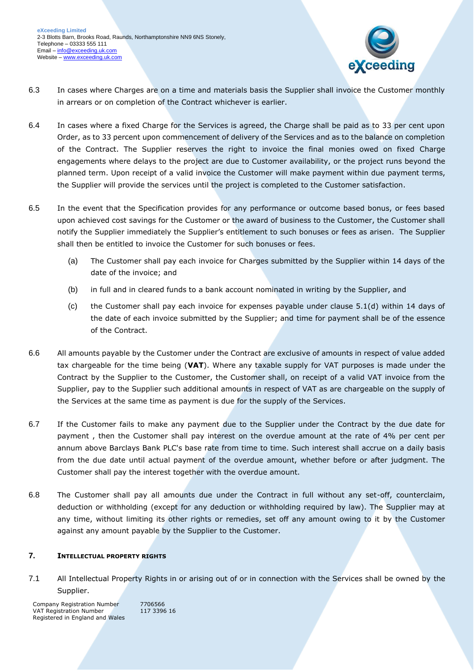

- 6.3 In cases where Charges are on a time and materials basis the Supplier shall invoice the Customer monthly in arrears or on completion of the Contract whichever is earlier.
- 6.4 In cases where a fixed Charge for the Services is agreed, the Charge shall be paid as to 33 per cent upon Order, as to 33 percent upon commencement of delivery of the Services and as to the balance on completion of the Contract. The Supplier reserves the right to invoice the final monies owed on fixed Charge engagements where delays to the project are due to Customer availability, or the project runs beyond the planned term. Upon receipt of a valid invoice the Customer will make payment within due payment terms, the Supplier will provide the services until the project is completed to the Customer satisfaction.
- 6.5 In the event that the Specification provides for any performance or outcome based bonus, or fees based upon achieved cost savings for the Customer or the award of business to the Customer, the Customer shall notify the Supplier immediately the Supplier's entitlement to such bonuses or fees as arisen. The Supplier shall then be entitled to invoice the Customer for such bonuses or fees.
	- (a) The Customer shall pay each invoice for Charges submitted by the Supplier within 14 days of the date of the invoice; and
	- (b) in full and in cleared funds to a bank account nominated in writing by the Supplier, and
	- (c) the Customer shall pay each invoice for expenses payable under clause 5.1(d) within 14 days of the date of each invoice submitted by the Supplier; and time for payment shall be of the essence of the Contract.
- 6.6 All amounts payable by the Customer under the Contract are exclusive of amounts in respect of value added tax chargeable for the time being (**VAT**). Where any taxable supply for VAT purposes is made under the Contract by the Supplier to the Customer, the Customer shall, on receipt of a valid VAT invoice from the Supplier, pay to the Supplier such additional amounts in respect of VAT as are chargeable on the supply of the Services at the same time as payment is due for the supply of the Services.
- 6.7 If the Customer fails to make any payment due to the Supplier under the Contract by the due date for payment , then the Customer shall pay interest on the overdue amount at the rate of 4% per cent per annum above Barclays Bank PLC's base rate from time to time. Such interest shall accrue on a daily basis from the due date until actual payment of the overdue amount, whether before or after judgment. The Customer shall pay the interest together with the overdue amount.
- 6.8 The Customer shall pay all amounts due under the Contract in full without any set-off, counterclaim, deduction or withholding (except for any deduction or withholding required by law). The Supplier may at any time, without limiting its other rights or remedies, set off any amount owing to it by the Customer against any amount payable by the Supplier to the Customer.

# **7. INTELLECTUAL PROPERTY RIGHTS**

7.1 All Intellectual Property Rights in or arising out of or in connection with the Services shall be owned by the Supplier.

Company Registration Number 7706566<br>VAT Registration Number 117 3396 16 VAT Registration Number Registered in England and Wales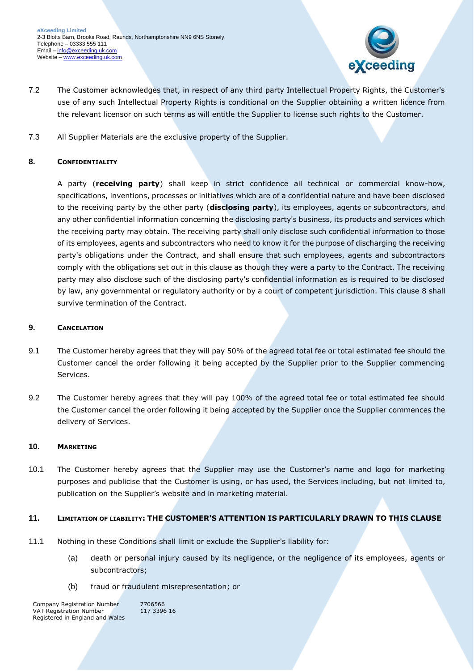

- 7.2 The Customer acknowledges that, in respect of any third party Intellectual Property Rights, the Customer's use of any such Intellectual Property Rights is conditional on the Supplier obtaining a written licence from the relevant licensor on such terms as will entitle the Supplier to license such rights to the Customer.
- 7.3 All Supplier Materials are the exclusive property of the Supplier.

# <span id="page-5-0"></span>**8. CONFIDENTIALITY**

A party (**receiving party**) shall keep in strict confidence all technical or commercial know-how, specifications, inventions, processes or initiatives which are of a confidential nature and have been disclosed to the receiving party by the other party (**disclosing party**), its employees, agents or subcontractors, and any other confidential information concerning the disclosing party's business, its products and services which the receiving party may obtain. The receiving party shall only disclose such confidential information to those of its employees, agents and subcontractors who need to know it for the purpose of discharging the receiving party's obligations under the Contract, and shall ensure that such employees, agents and subcontractors comply with the obligations set out in this clause as though they were a party to the Contract. The receiving party may also disclose such of the disclosing party's confidential information as is required to be disclosed by law, any governmental or regulatory authority or by a court of competent jurisdiction. This clause [8](#page-5-0) shall survive termination of the Contract.

#### **9. CANCELATION**

- 9.1 The Customer hereby agrees that they will pay 50% of the agreed total fee or total estimated fee should the Customer cancel the order following it being accepted by the Supplier prior to the Supplier commencing Services.
- 9.2 The Customer hereby agrees that they will pay 100% of the agreed total fee or total estimated fee should the Customer cancel the order following it being accepted by the Supplier once the Supplier commences the delivery of Services.

#### **10. MARKETING**

10.1 The Customer hereby agrees that the Supplier may use the Customer's name and logo for marketing purposes and publicise that the Customer is using, or has used, the Services including, but not limited to, publication on the Supplier's website and in marketing material.

#### <span id="page-5-1"></span>**11. LIMITATION OF LIABILITY: THE CUSTOMER'S ATTENTION IS PARTICULARLY DRAWN TO THIS CLAUSE**

- 11.1 Nothing in these Conditions shall limit or exclude the Supplier's liability for:
	- (a) death or personal injury caused by its negligence, or the negligence of its employees, agents or subcontractors;
	- (b) fraud or fraudulent misrepresentation; or

Company Registration Number 7706566<br>VAT Registration Number 117 3396 16 VAT Registration Number Registered in England and Wales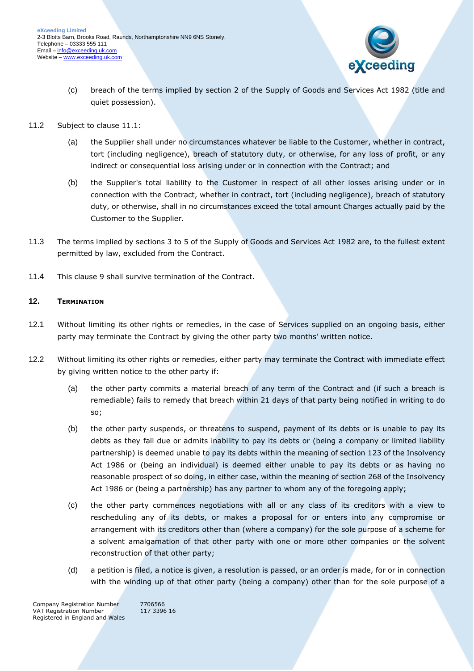

- (c) breach of the terms implied by section 2 of the Supply of Goods and Services Act 1982 (title and quiet possession).
- 11.2 Subject to clause [11.1:](#page-5-1)
	- (a) the Supplier shall under no circumstances whatever be liable to the Customer, whether in contract, tort (including negligence), breach of statutory duty, or otherwise, for any loss of profit, or any indirect or consequential loss arising under or in connection with the Contract; and
	- (b) the Supplier's total liability to the Customer in respect of all other losses arising under or in connection with the Contract, whether in contract, tort (including negligence), breach of statutory duty, or otherwise, shall in no circumstances exceed the total amount Charges actually paid by the Customer to the Supplier.
- 11.3 The terms implied by sections 3 to 5 of the Supply of Goods and Services Act 1982 are, to the fullest extent permitted by law, excluded from the Contract.
- 11.4 This clause 9 shall survive termination of the Contract.

# **12. TERMINATION**

- 12.1 Without limiting its other rights or remedies, in the case of Services supplied on an ongoing basis, either party may terminate the Contract by giving the other party two months' written notice.
- <span id="page-6-0"></span>12.2 Without limiting its other rights or remedies, either party may terminate the Contract with immediate effect by giving written notice to the other party if:
	- (a) the other party commits a material breach of any term of the Contract and (if such a breach is remediable) fails to remedy that breach within 21 days of that party being notified in writing to do so;
	- (b) the other party suspends, or threatens to suspend, payment of its debts or is unable to pay its debts as they fall due or admits inability to pay its debts or (being a company or limited liability partnership) is deemed unable to pay its debts within the meaning of section 123 of the Insolvency Act 1986 or (being an individual) is deemed either unable to pay its debts or as having no reasonable prospect of so doing, in either case, within the meaning of section 268 of the Insolvency Act 1986 or (being a partnership) has any partner to whom any of the foregoing apply;
	- (c) the other party commences negotiations with all or any class of its creditors with a view to rescheduling any of its debts, or makes a proposal for or enters into any compromise or arrangement with its creditors other than (where a company) for the sole purpose of a scheme for a solvent amalgamation of that other party with one or more other companies or the solvent reconstruction of that other party;
	- (d) a petition is filed, a notice is given, a resolution is passed, or an order is made, for or in connection with the winding up of that other party (being a company) other than for the sole purpose of a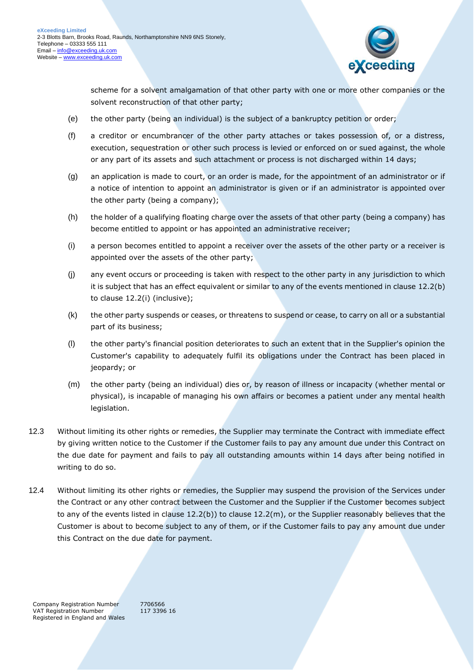

scheme for a solvent amalgamation of that other party with one or more other companies or the solvent reconstruction of that other party;

- (e) the other party (being an individual) is the subject of a bankruptcy petition or order;
- (f) a creditor or encumbrancer of the other party attaches or takes possession of, or a distress, execution, sequestration or other such process is levied or enforced on or sued against, the whole or any part of its assets and such attachment or process is not discharged within 14 days;
- (g) an application is made to court, or an order is made, for the appointment of an administrator or if a notice of intention to appoint an administrator is given or if an administrator is appointed over the other party (being a company);
- (h) the holder of a qualifying floating charge over the assets of that other party (being a company) has become entitled to appoint or has appointed an administrative receiver;
- <span id="page-7-0"></span>(i) a person becomes entitled to appoint a receiver over the assets of the other party or a receiver is appointed over the assets of the other party;
- (j) any event occurs or proceeding is taken with respect to the other party in any jurisdiction to which it is subject that has an effect equivalent or similar to any of the events mentioned in clause [12.2\(b\)](#page-6-0) to clause [12.2\(i\)](#page-7-0) (inclusive);
- (k) the other party suspends or ceases, or threatens to suspend or cease, to carry on all or a substantial part of its business;
- (l) the other party's financial position deteriorates to such an extent that in the Supplier's opinion the Customer's capability to adequately fulfil its obligations under the Contract has been placed in jeopardy; or
- <span id="page-7-1"></span>(m) the other party (being an individual) dies or, by reason of illness or incapacity (whether mental or physical), is incapable of managing his own affairs or becomes a patient under any mental health legislation.
- 12.3 Without limiting its other rights or remedies, the Supplier may terminate the Contract with immediate effect by giving written notice to the Customer if the Customer fails to pay any amount due under this Contract on the due date for payment and fails to pay all outstanding amounts within 14 days after being notified in writing to do so.
- 12.4 Without limiting its other rights or remedies, the Supplier may suspend the provision of the Services under the Contract or any other contract between the Customer and the Supplier if the Customer becomes subject to any of the events listed in clause [12.2\(b\)\)](#page-6-0) to clause [12.2\(m\),](#page-7-1) or the Supplier reasonably believes that the Customer is about to become subject to any of them, or if the Customer fails to pay any amount due under this Contract on the due date for payment.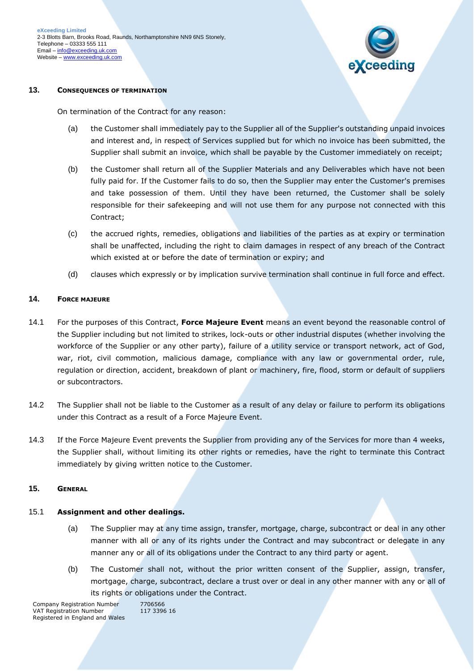

#### **13. CONSEQUENCES OF TERMINATION**

On termination of the Contract for any reason:

- (a) the Customer shall immediately pay to the Supplier all of the Supplier's outstanding unpaid invoices and interest and, in respect of Services supplied but for which no invoice has been submitted, the Supplier shall submit an invoice, which shall be payable by the Customer immediately on receipt;
- (b) the Customer shall return all of the Supplier Materials and any Deliverables which have not been fully paid for. If the Customer fails to do so, then the Supplier may enter the Customer's premises and take possession of them. Until they have been returned, the Customer shall be solely responsible for their safekeeping and will not use them for any purpose not connected with this Contract;
- (c) the accrued rights, remedies, obligations and liabilities of the parties as at expiry or termination shall be unaffected, including the right to claim damages in respect of any breach of the Contract which existed at or before the date of termination or expiry; and
- (d) clauses which expressly or by implication survive termination shall continue in full force and effect.

#### **14. FORCE MAJEURE**

- 14.1 For the purposes of this Contract, **Force Majeure Event** means an event beyond the reasonable control of the Supplier including but not limited to strikes, lock-outs or other industrial disputes (whether involving the workforce of the Supplier or any other party), failure of a utility service or transport network, act of God, war, riot, civil commotion, malicious damage, compliance with any law or governmental order, rule, regulation or direction, accident, breakdown of plant or machinery, fire, flood, storm or default of suppliers or subcontractors.
- 14.2 The Supplier shall not be liable to the Customer as a result of any delay or failure to perform its obligations under this Contract as a result of a Force Majeure Event.
- 14.3 If the Force Majeure Event prevents the Supplier from providing any of the Services for more than 4 weeks, the Supplier shall, without limiting its other rights or remedies, have the right to terminate this Contract immediately by giving written notice to the Customer.

#### **15. GENERAL**

#### 15.1 **Assignment and other dealings.**

- (a) The Supplier may at any time assign, transfer, mortgage, charge, subcontract or deal in any other manner with all or any of its rights under the Contract and may subcontract or delegate in any manner any or all of its obligations under the Contract to any third party or agent.
- (b) The Customer shall not, without the prior written consent of the Supplier, assign, transfer, mortgage, charge, subcontract, declare a trust over or deal in any other manner with any or all of its rights or obligations under the Contract.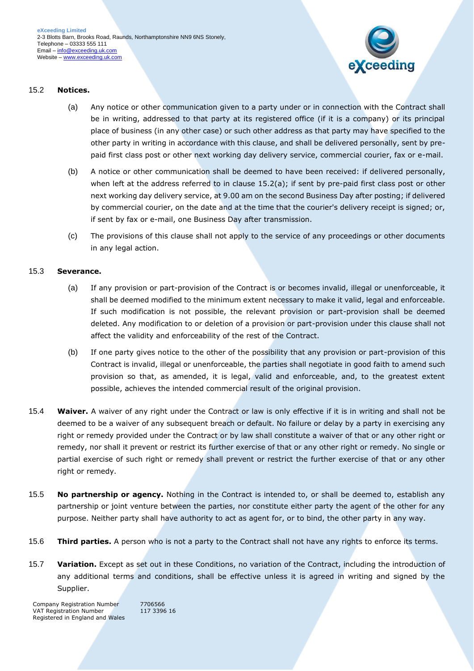

## <span id="page-9-1"></span>15.2 **Notices.**

- (a) Any notice or other communication given to a party under or in connection with the Contract shall be in writing, addressed to that party at its registered office (if it is a company) or its principal place of business (in any other case) or such other address as that party may have specified to the other party in writing in accordance with this clause, and shall be delivered personally, sent by prepaid first class post or other next working day delivery service, commercial courier, fax or e-mail.
- (b) A notice or other communication shall be deemed to have been received: if delivered personally, when left at the address referred to in clause [15.2\(a\);](#page-9-1) if sent by pre-paid first class post or other next working day delivery service, at 9.00 am on the second Business Day after posting; if delivered by commercial courier, on the date and at the time that the courier's delivery receipt is signed; or, if sent by fax or e-mail, one Business Day after transmission.
- (c) The provisions of this clause shall not apply to the service of any proceedings or other documents in any legal action.

## 15.3 **Severance.**

- (a) If any provision or part-provision of the Contract is or becomes invalid, illegal or unenforceable, it shall be deemed modified to the minimum extent necessary to make it valid, legal and enforceable. If such modification is not possible, the relevant provision or part-provision shall be deemed deleted. Any modification to or deletion of a provision or part-provision under this clause shall not affect the validity and enforceability of the rest of the Contract.
- (b) If one party gives notice to the other of the possibility that any provision or part-provision of this Contract is invalid, illegal or unenforceable, the parties shall negotiate in good faith to amend such provision so that, as amended, it is legal, valid and enforceable, and, to the greatest extent possible, achieves the intended commercial result of the original provision.
- 15.4 **Waiver.** A waiver of any right under the Contract or law is only effective if it is in writing and shall not be deemed to be a waiver of any subsequent breach or default. No failure or delay by a party in exercising any right or remedy provided under the Contract or by law shall constitute a waiver of that or any other right or remedy, nor shall it prevent or restrict its further exercise of that or any other right or remedy. No single or partial exercise of such right or remedy shall prevent or restrict the further exercise of that or any other right or remedy.
- 15.5 **No partnership or agency.** Nothing in the Contract is intended to, or shall be deemed to, establish any partnership or joint venture between the parties, nor constitute either party the agent of the other for any purpose. Neither party shall have authority to act as agent for, or to bind, the other party in any way.
- 15.6 **Third parties.** A person who is not a party to the Contract shall not have any rights to enforce its terms.
- <span id="page-9-0"></span>15.7 **Variation.** Except as set out in these Conditions, no variation of the Contract, including the introduction of any additional terms and conditions, shall be effective unless it is agreed in writing and signed by the Supplier.